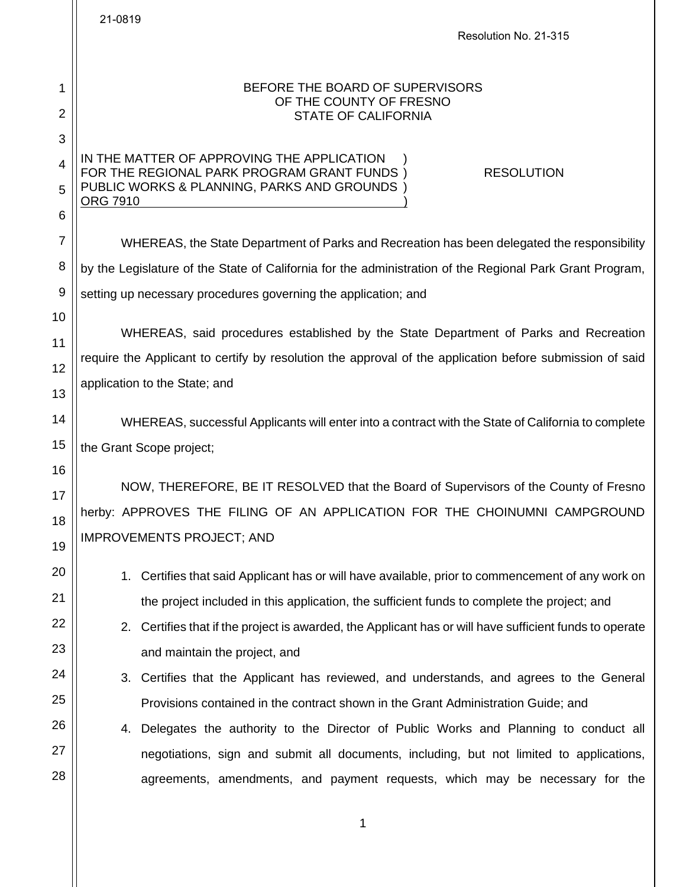|                     | 21-0819<br>Resolution No. 21-315                                                                                                                              |
|---------------------|---------------------------------------------------------------------------------------------------------------------------------------------------------------|
|                     |                                                                                                                                                               |
| 1<br>$\overline{2}$ | BEFORE THE BOARD OF SUPERVISORS<br>OF THE COUNTY OF FRESNO<br><b>STATE OF CALIFORNIA</b>                                                                      |
| 3                   |                                                                                                                                                               |
| $\overline{4}$<br>5 | IN THE MATTER OF APPROVING THE APPLICATION<br>FOR THE REGIONAL PARK PROGRAM GRANT FUNDS)<br><b>RESOLUTION</b><br>PUBLIC WORKS & PLANNING, PARKS AND GROUNDS ) |
| 6                   | <b>ORG 7910</b>                                                                                                                                               |
| 7                   | WHEREAS, the State Department of Parks and Recreation has been delegated the responsibility                                                                   |
| 8                   | by the Legislature of the State of California for the administration of the Regional Park Grant Program,                                                      |
| 9                   | setting up necessary procedures governing the application; and                                                                                                |
| 10                  | WHEREAS, said procedures established by the State Department of Parks and Recreation                                                                          |
| 11                  | require the Applicant to certify by resolution the approval of the application before submission of said                                                      |
| 12                  | application to the State; and                                                                                                                                 |
| 13                  |                                                                                                                                                               |
| 14                  | WHEREAS, successful Applicants will enter into a contract with the State of California to complete                                                            |
| 15                  | the Grant Scope project;                                                                                                                                      |
| 16                  | NOW, THEREFORE, BE IT RESOLVED that the Board of Supervisors of the County of Fresno                                                                          |
| 17<br>18            | herby: APPROVES THE FILING OF AN APPLICATION FOR THE CHOINUMNI CAMPGROUND                                                                                     |
| 19                  | <b>IMPROVEMENTS PROJECT; AND</b>                                                                                                                              |
| 20                  | 1. Certifies that said Applicant has or will have available, prior to commencement of any work on                                                             |
| 21                  | the project included in this application, the sufficient funds to complete the project; and                                                                   |
| 22                  | 2. Certifies that if the project is awarded, the Applicant has or will have sufficient funds to operate                                                       |
| 23                  | and maintain the project, and                                                                                                                                 |
| 24                  | 3. Certifies that the Applicant has reviewed, and understands, and agrees to the General                                                                      |
| 25                  | Provisions contained in the contract shown in the Grant Administration Guide; and                                                                             |
| 26                  | Delegates the authority to the Director of Public Works and Planning to conduct all<br>4.                                                                     |
| 27                  | negotiations, sign and submit all documents, including, but not limited to applications,                                                                      |
| 28                  | agreements, amendments, and payment requests, which may be necessary for the                                                                                  |
|                     | 1                                                                                                                                                             |